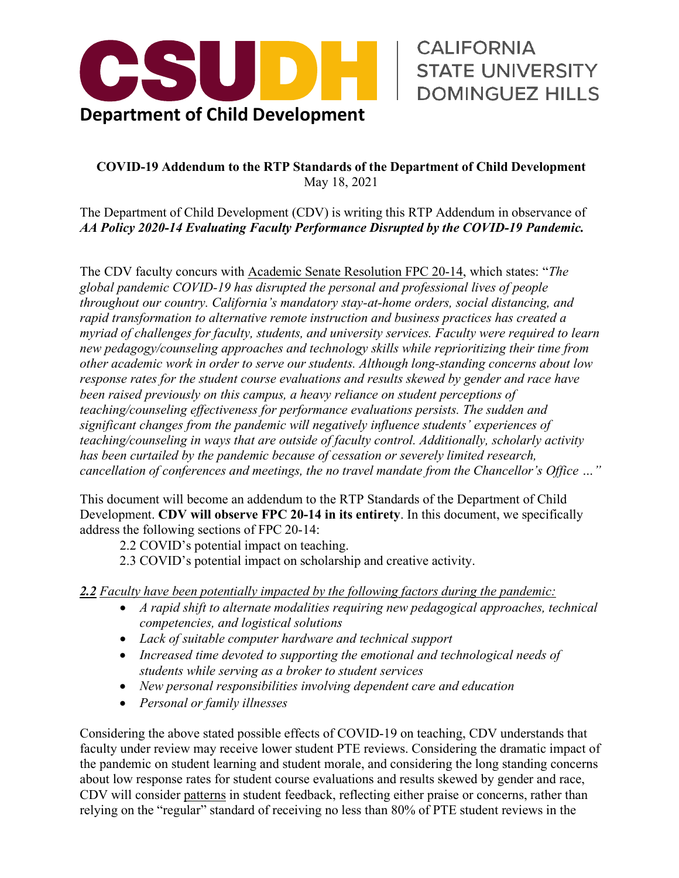

STATE UNIVERSITY DOMINGUEZ HILLS

## **COVID-19 Addendum to the RTP Standards of the Department of Child Development**  May 18, 2021

 The Department of Child Development (CDV) is writing this RTP Addendum in observance of  *AA Policy 2020-14 Evaluating Faculty Performance Disrupted by the COVID-19 Pandemic.* 

 The CDV faculty concurs with Academic Senate Resolution FPC 20-14, which states: "*The throughout our country. California's mandatory stay-at-home orders, social distancing, and teaching/counseling in ways that are outside of faculty control. Additionally, scholarly activity cancellation of conferences and meetings, the no travel mandate from the Chancellor's Office …" global pandemic COVID-19 has disrupted the personal and professional lives of people rapid transformation to alternative remote instruction and business practices has created a myriad of challenges for faculty, students, and university services. Faculty were required to learn new pedagogy/counseling approaches and technology skills while reprioritizing their time from other academic work in order to serve our students. Although long-standing concerns about low response rates for the student course evaluations and results skewed by gender and race have been raised previously on this campus, a heavy reliance on student perceptions of teaching/counseling effectiveness for performance evaluations persists. The sudden and significant changes from the pandemic will negatively influence students' experiences of has been curtailed by the pandemic because of cessation or severely limited research,* 

 This document will become an addendum to the RTP Standards of the Department of Child Development. **CDV will observe FPC 20-14 in its entirety**. In this document, we specifically address the following sections of FPC 20-14:

2.2 COVID's potential impact on teaching.

2.3 COVID's potential impact on scholarship and creative activity.

 *2.2 Faculty have been potentially impacted by the following factors during the pandemic:* 

- *A rapid shift to alternate modalities requiring new pedagogical approaches, technical competencies, and logistical solutions*
- *Lack of suitable computer hardware and technical support*
- *students while serving as a broker to student services*  • *Increased time devoted to supporting the emotional and technological needs of*
- *New personal responsibilities involving dependent care and education*
- *Personal or family illnesses*

 relying on the "regular" standard of receiving no less than 80% of PTE student reviews in the Considering the above stated possible effects of COVID-19 on teaching, CDV understands that faculty under review may receive lower student PTE reviews. Considering the dramatic impact of the pandemic on student learning and student morale, and considering the long standing concerns about low response rates for student course evaluations and results skewed by gender and race, CDV will consider patterns in student feedback, reflecting either praise or concerns, rather than